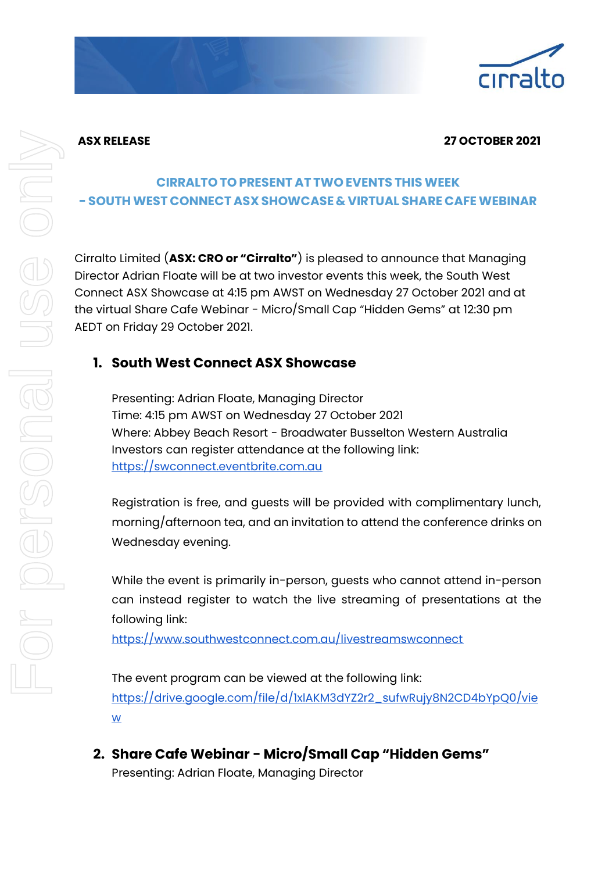## **ASX RELEASE 27 OCTOBER 2021**

# **CIRRALTO TO PRESENT AT TWO EVENTS THIS WEEK - SOUTHWEST CONNECT ASX SHOWCASE& VIRTUAL SHARE CAFEWEBINAR**

Cirralto Limited (**ASX: CRO or "Cirralto"**) is pleased to announce that Managing Director Adrian Floate will be at two investor events this week, the South West Connect ASX Showcase at 4:15 pm AWST on Wednesday 27 October 2021 and at the virtual Share Cafe Webinar - Micro/Small Cap "Hidden Gems" at 12:30 pm AEDT on Friday 29 October 2021.

## **1. South West Connect ASX Showcase**

Presenting: Adrian Floate, Managing Director Time: 4:15 pm AWST on Wednesday 27 October 2021 Where: Abbey Beach Resort - Broadwater Busselton Western Australia Investors can register attendance at the following link: [https://swconnect.eventbrite.com.au](https://swconnect.eventbrite.com.au/)

Registration is free, and guests will be provided with complimentary lunch, morning/afternoon tea, and an invitation to attend the conference drinks on Wednesday evening.

While the event is primarily in-person, guests who cannot attend in-person can instead register to watch the live streaming of presentations at the following link:

<https://www.southwestconnect.com.au/livestreamswconnect>

The event program can be viewed at the following link: [https://drive.google.com/file/d/1xlAKM3dYZ2r2\\_sufwRujy8N2CD4bYpQ0/vie](https://drive.google.com/file/d/1xlAKM3dYZ2r2_sufwRujy8N2CD4bYpQ0/view) [w](https://drive.google.com/file/d/1xlAKM3dYZ2r2_sufwRujy8N2CD4bYpQ0/view)

**2. Share Cafe Webinar - Micro/Small Cap "Hidden Gems"** Presenting: Adrian Floate, Managing Director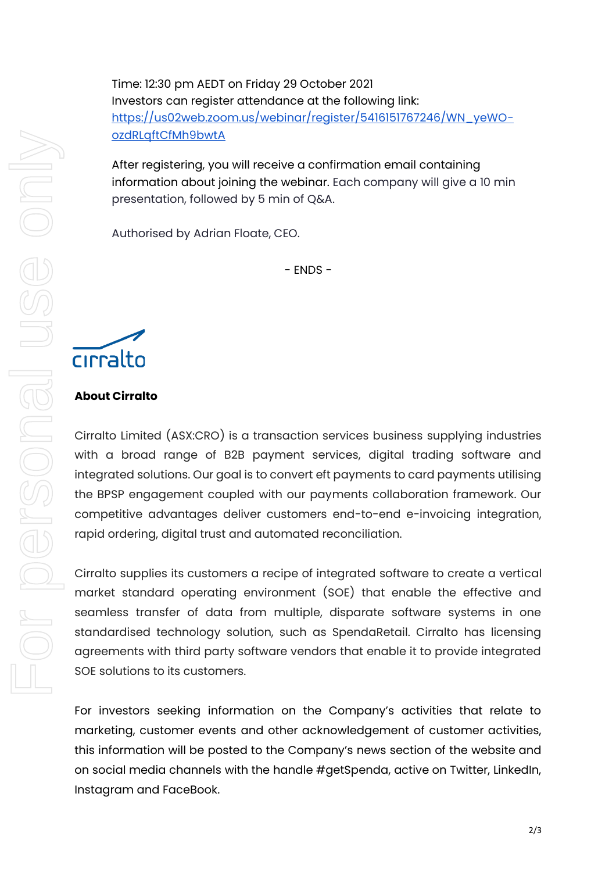Time: 12:30 pm AEDT on Friday 29 October 2021 Investors can register attendance at the following link: [https://us02web.zoom.us/webinar/register/5416151767246/WN\\_yeWO](https://us02web.zoom.us/webinar/register/5416151767246/WN_yeWO-ozdRLqftCfMh9bwtA)[ozdRLqftCfMh9bwtA](https://us02web.zoom.us/webinar/register/5416151767246/WN_yeWO-ozdRLqftCfMh9bwtA)

After registering, you will receive a confirmation email containing information about joining the webinar. Each company will give a 10 min presentation, followed by 5 min of Q&A.

Authorised by Adrian Floate, CEO.

- ENDS -

# cirralto

## **About Cirralto**

Cirralto Limited (ASX:CRO) is a transaction services business supplying industries with a broad range of B2B payment services, digital trading software and integrated solutions. Our goal is to convert eft payments to card payments utilising the BPSP engagement coupled with our payments collaboration framework. Our competitive advantages deliver customers end-to-end e-invoicing integration, rapid ordering, digital trust and automated reconciliation.

Cirralto supplies its customers a recipe of integrated software to create a vertical market standard operating environment (SOE) that enable the effective and seamless transfer of data from multiple, disparate software systems in one standardised technology solution, such as SpendaRetail. Cirralto has licensing agreements with third party software vendors that enable it to provide integrated SOE solutions to its customers.

For investors seeking information on the Company's activities that relate to marketing, customer events and other acknowledgement of customer activities, this information will be posted to the Company's news section of the website and on social media channels with the handle #getSpenda, active on Twitter, LinkedIn, Instagram and FaceBook.